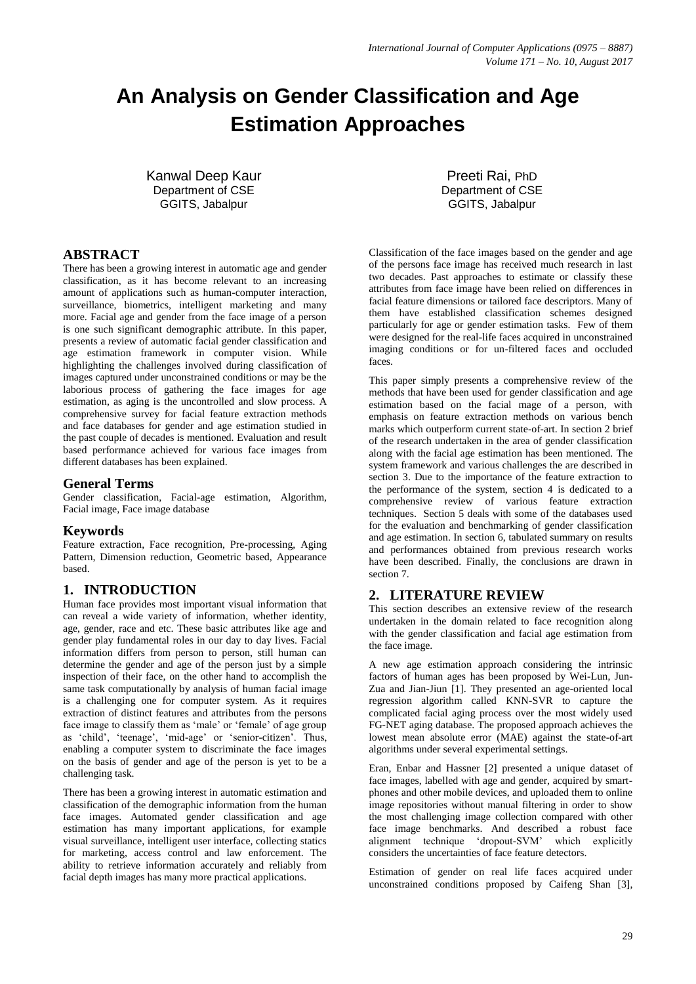# **An Analysis on Gender Classification and Age Estimation Approaches**

Kanwal Deep Kaur Department of CSE GGITS, Jabalpur

## **ABSTRACT**

There has been a growing interest in automatic age and gender classification, as it has become relevant to an increasing amount of applications such as human-computer interaction, surveillance, biometrics, intelligent marketing and many more. Facial age and gender from the face image of a person is one such significant demographic attribute. In this paper, presents a review of automatic facial gender classification and age estimation framework in computer vision. While highlighting the challenges involved during classification of images captured under unconstrained conditions or may be the laborious process of gathering the face images for age estimation, as aging is the uncontrolled and slow process. A comprehensive survey for facial feature extraction methods and face databases for gender and age estimation studied in the past couple of decades is mentioned. Evaluation and result based performance achieved for various face images from different databases has been explained.

## **General Terms**

Gender classification, Facial-age estimation, Algorithm, Facial image, Face image database

## **Keywords**

Feature extraction, Face recognition, Pre-processing, Aging Pattern, Dimension reduction, Geometric based, Appearance based.

## **1. INTRODUCTION**

Human face provides most important visual information that can reveal a wide variety of information, whether identity, age, gender, race and etc. These basic attributes like age and gender play fundamental roles in our day to day lives. Facial information differs from person to person, still human can determine the gender and age of the person just by a simple inspection of their face, on the other hand to accomplish the same task computationally by analysis of human facial image is a challenging one for computer system. As it requires extraction of distinct features and attributes from the persons face image to classify them as 'male' or 'female' of age group as 'child', 'teenage', 'mid-age' or 'senior-citizen'. Thus, enabling a computer system to discriminate the face images on the basis of gender and age of the person is yet to be a challenging task.

There has been a growing interest in automatic estimation and classification of the demographic information from the human face images. Automated gender classification and age estimation has many important applications, for example visual surveillance, intelligent user interface, collecting statics for marketing, access control and law enforcement. The ability to retrieve information accurately and reliably from facial depth images has many more practical applications.

Preeti Rai, PhD Department of CSE GGITS, Jabalpur

Classification of the face images based on the gender and age of the persons face image has received much research in last two decades. Past approaches to estimate or classify these attributes from face image have been relied on differences in facial feature dimensions or tailored face descriptors. Many of them have established classification schemes designed particularly for age or gender estimation tasks. Few of them were designed for the real-life faces acquired in unconstrained imaging conditions or for un-filtered faces and occluded faces.

This paper simply presents a comprehensive review of the methods that have been used for gender classification and age estimation based on the facial mage of a person, with emphasis on feature extraction methods on various bench marks which outperform current state-of-art. In section 2 brief of the research undertaken in the area of gender classification along with the facial age estimation has been mentioned. The system framework and various challenges the are described in section 3. Due to the importance of the feature extraction to the performance of the system, section 4 is dedicated to a comprehensive review of various feature extraction techniques. Section 5 deals with some of the databases used for the evaluation and benchmarking of gender classification and age estimation. In section 6, tabulated summary on results and performances obtained from previous research works have been described. Finally, the conclusions are drawn in section 7.

## **2. LITERATURE REVIEW**

This section describes an extensive review of the research undertaken in the domain related to face recognition along with the gender classification and facial age estimation from the face image.

A new age estimation approach considering the intrinsic factors of human ages has been proposed by Wei-Lun, Jun-Zua and Jian-Jiun [1]. They presented an age-oriented local regression algorithm called KNN-SVR to capture the complicated facial aging process over the most widely used FG-NET aging database. The proposed approach achieves the lowest mean absolute error (MAE) against the state-of-art algorithms under several experimental settings.

Eran, Enbar and Hassner [2] presented a unique dataset of face images, labelled with age and gender, acquired by smartphones and other mobile devices, and uploaded them to online image repositories without manual filtering in order to show the most challenging image collection compared with other face image benchmarks. And described a robust face alignment technique 'dropout-SVM' which explicitly considers the uncertainties of face feature detectors.

Estimation of gender on real life faces acquired under unconstrained conditions proposed by Caifeng Shan [3],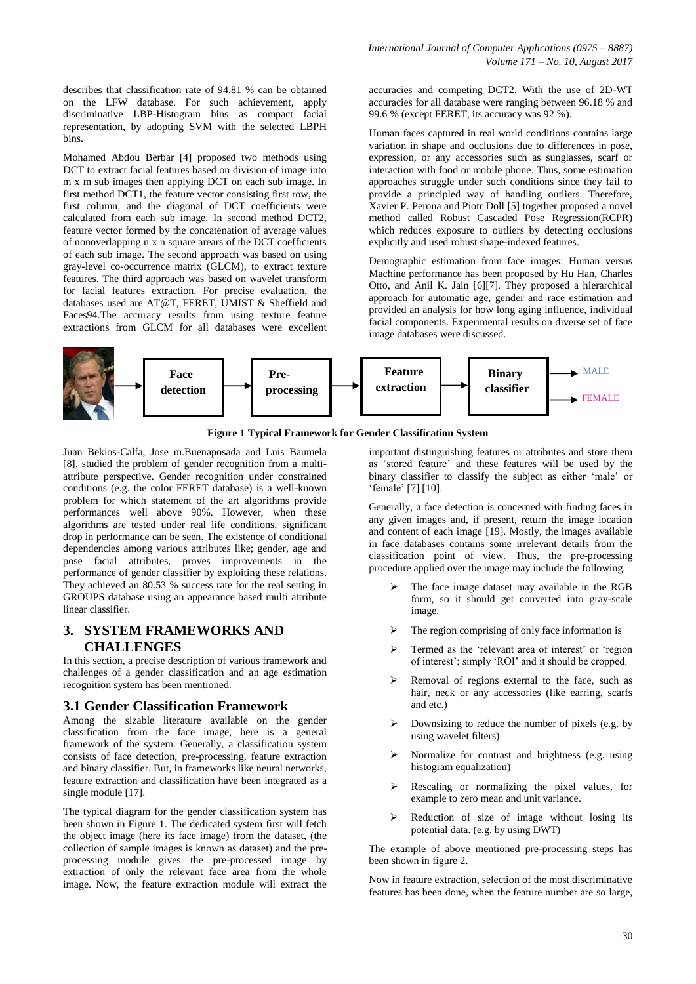*International Journal of Computer Applications (0975 – 8887) Volume 171 – No. 10, August 2017*

describes that classification rate of 94.81 % can be obtained on the LFW database. For such achievement, apply discriminative LBP-Histogram bins as compact facial representation, by adopting SVM with the selected LBPH bins.

Mohamed Abdou Berbar [4] proposed two methods using DCT to extract facial features based on division of image into m x m sub images then applying DCT on each sub image. In first method DCT1, the feature vector consisting first row, the first column, and the diagonal of DCT coefficients were calculated from each sub image. In second method DCT2, feature vector formed by the concatenation of average values of nonoverlapping n x n square arears of the DCT coefficients of each sub image. The second approach was based on using gray-level co-occurrence matrix (GLCM), to extract texture features. The third approach was based on wavelet transform for facial features extraction. For precise evaluation, the databases used are AT@T, FERET, UMIST & Sheffield and Faces94.The accuracy results from using texture feature extractions from GLCM for all databases were excellent accuracies and competing DCT2. With the use of 2D-WT accuracies for all database were ranging between 96.18 % and 99.6 % (except FERET, its accuracy was 92 %).

Human faces captured in real world conditions contains large variation in shape and occlusions due to differences in pose, expression, or any accessories such as sunglasses, scarf or interaction with food or mobile phone. Thus, some estimation approaches struggle under such conditions since they fail to provide a principled way of handling outliers. Therefore, Xavier P. Perona and Piotr Doll [5] together proposed a novel method called Robust Cascaded Pose Regression(RCPR) which reduces exposure to outliers by detecting occlusions explicitly and used robust shape-indexed features.

Demographic estimation from face images: Human versus Machine performance has been proposed by Hu Han, Charles Otto, and Anil K. Jain [6][7]. They proposed a hierarchical approach for automatic age, gender and race estimation and provided an analysis for how long aging influence, individual facial components. Experimental results on diverse set of face image databases were discussed.





Juan Bekios-Calfa, Jose m.Buenaposada and Luis Baumela [8], studied the problem of gender recognition from a multiattribute perspective. Gender recognition under constrained conditions (e.g. the color FERET database) is a well-known problem for which statement of the art algorithms provide performances well above 90%. However, when these algorithms are tested under real life conditions, significant drop in performance can be seen. The existence of conditional dependencies among various attributes like; gender, age and pose facial attributes, proves improvements in the performance of gender classifier by exploiting these relations. They achieved an 80.53 % success rate for the real setting in GROUPS database using an appearance based multi attribute linear classifier.

## **3. SYSTEM FRAMEWORKS AND CHALLENGES**

In this section, a precise description of various framework and challenges of a gender classification and an age estimation recognition system has been mentioned.

#### **3.1 Gender Classification Framework**

Among the sizable literature available on the gender classification from the face image, here is a general framework of the system. Generally, a classification system consists of face detection, pre-processing, feature extraction and binary classifier. But, in frameworks like neural networks, feature extraction and classification have been integrated as a single module [17].

The typical diagram for the gender classification system has been shown in Figure 1. The dedicated system first will fetch the object image (here its face image) from the dataset, (the collection of sample images is known as dataset) and the preprocessing module gives the pre-processed image by extraction of only the relevant face area from the whole image. Now, the feature extraction module will extract the

important distinguishing features or attributes and store them as 'stored feature' and these features will be used by the binary classifier to classify the subject as either 'male' or 'female' [7] [10].

Generally, a face detection is concerned with finding faces in any given images and, if present, return the image location and content of each image [19]. Mostly, the images available in face databases contains some irrelevant details from the classification point of view. Thus, the pre-processing procedure applied over the image may include the following.

- The face image dataset may available in the RGB form, so it should get converted into gray-scale image.
- The region comprising of only face information is
- Termed as the 'relevant area of interest' or 'region of interest'; simply 'ROI' and it should be cropped.
- Removal of regions external to the face, such as hair, neck or any accessories (like earring, scarfs and etc.)
- Downsizing to reduce the number of pixels (e.g. by using wavelet filters)
- Normalize for contrast and brightness (e.g. using histogram equalization)
- Rescaling or normalizing the pixel values, for example to zero mean and unit variance.
- Reduction of size of image without losing its potential data. (e.g. by using DWT)

The example of above mentioned pre-processing steps has been shown in figure 2.

Now in feature extraction, selection of the most discriminative features has been done, when the feature number are so large,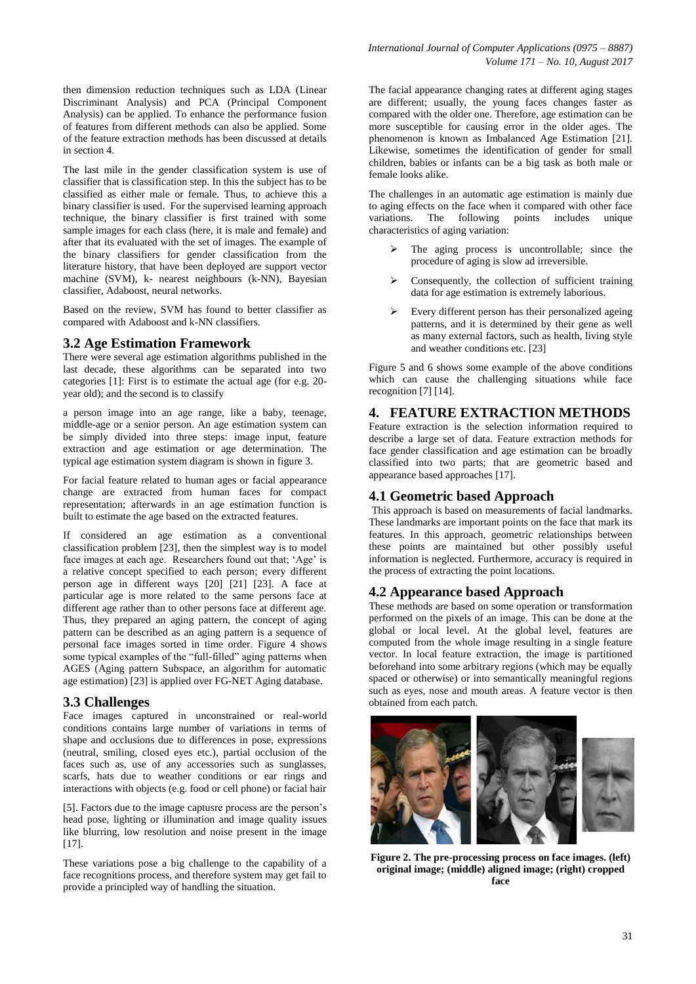then dimension reduction techniques such as LDA (Linear Discriminant Analysis) and PCA (Principal Component Analysis) can be applied. To enhance the performance fusion of features from different methods can also be applied. Some of the feature extraction methods has been discussed at details in section 4.

The last mile in the gender classification system is use of classifier that is classification step. In this the subject has to be classified as either male or female. Thus, to achieve this a binary classifier is used. For the supervised learning approach technique, the binary classifier is first trained with some sample images for each class (here, it is male and female) and after that its evaluated with the set of images. The example of the binary classifiers for gender classification from the literature history, that have been deployed are support vector machine (SVM), k- nearest neighbours (k-NN), Bayesian classifier, Adaboost, neural networks.

Based on the review, SVM has found to better classifier as compared with Adaboost and k-NN classifiers.

#### **3.2 Age Estimation Framework**

There were several age estimation algorithms published in the last decade, these algorithms can be separated into two categories [1]: First is to estimate the actual age (for e.g. 20 year old); and the second is to classify

a person image into an age range, like a baby, teenage, middle-age or a senior person. An age estimation system can be simply divided into three steps: image input, feature extraction and age estimation or age determination. The typical age estimation system diagram is shown in figure 3.

For facial feature related to human ages or facial appearance change are extracted from human faces for compact representation; afterwards in an age estimation function is built to estimate the age based on the extracted features.

If considered an age estimation as a conventional classification problem [23], then the simplest way is to model face images at each age. Researchers found out that; 'Age' is a relative concept specified to each person; every different person age in different ways [20] [21] [23]. A face at particular age is more related to the same persons face at different age rather than to other persons face at different age. Thus, they prepared an aging pattern, the concept of aging pattern can be described as an aging pattern is a sequence of personal face images sorted in time order. Figure 4 shows some typical examples of the "full-filled" aging patterns when AGES (Aging pattern Subspace, an algorithm for automatic age estimation) [23] is applied over FG-NET Aging database.

#### **3.3 Challenges**

Face images captured in unconstrained or real-world conditions contains large number of variations in terms of shape and occlusions due to differences in pose, expressions (neutral, smiling, closed eyes etc.), partial occlusion of the faces such as, use of any accessories such as sunglasses, scarfs, hats due to weather conditions or ear rings and interactions with objects (e.g. food or cell phone) or facial hair

[5]. Factors due to the image captusre process are the person's head pose, lighting or illumination and image quality issues like blurring, low resolution and noise present in the image [17].

These variations pose a big challenge to the capability of a face recognitions process, and therefore system may get fail to provide a principled way of handling the situation.

The facial appearance changing rates at different aging stages are different; usually, the young faces changes faster as compared with the older one. Therefore, age estimation can be more susceptible for causing error in the older ages. The phenomenon is known as Imbalanced Age Estimation [21]. Likewise, sometimes the identification of gender for small children, babies or infants can be a big task as both male or female looks alike.

The challenges in an automatic age estimation is mainly due to aging effects on the face when it compared with other face<br>variations. The following points includes unique variations. The following points includes unique characteristics of aging variation:

- The aging process is uncontrollable; since the procedure of aging is slow ad irreversible.
- Consequently, the collection of sufficient training data for age estimation is extremely laborious.
- Every different person has their personalized ageing patterns, and it is determined by their gene as well as many external factors, such as health, living style and weather conditions etc. [23]

Figure 5 and 6 shows some example of the above conditions which can cause the challenging situations while face recognition [7] [14].

#### **4. FEATURE EXTRACTION METHODS**

Feature extraction is the selection information required to describe a large set of data. Feature extraction methods for face gender classification and age estimation can be broadly classified into two parts; that are geometric based and appearance based approaches [17].

#### **4.1 Geometric based Approach**

This approach is based on measurements of facial landmarks. These landmarks are important points on the face that mark its features. In this approach, geometric relationships between these points are maintained but other possibly useful information is neglected. Furthermore, accuracy is required in the process of extracting the point locations.

#### **4.2 Appearance based Approach**

These methods are based on some operation or transformation performed on the pixels of an image. This can be done at the global or local level. At the global level, features are computed from the whole image resulting in a single feature vector. In local feature extraction, the image is partitioned beforehand into some arbitrary regions (which may be equally spaced or otherwise) or into semantically meaningful regions such as eyes, nose and mouth areas. A feature vector is then obtained from each patch.



**Figure 2. The pre-processing process on face images. (left) original image; (middle) aligned image; (right) cropped face**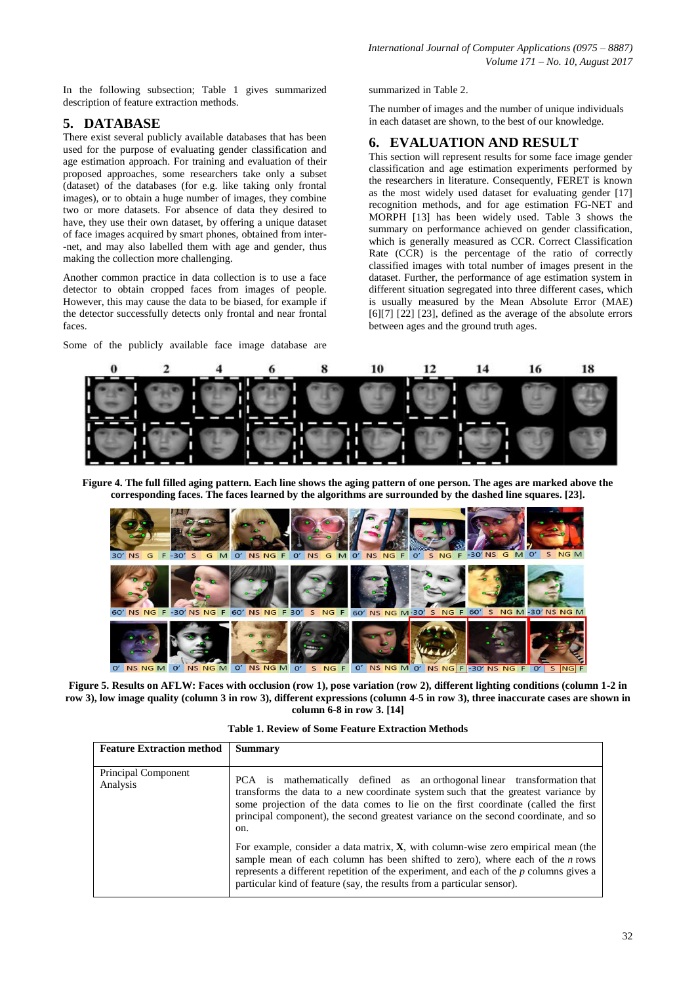In the following subsection; Table 1 gives summarized description of feature extraction methods.

# **5. DATABASE**

There exist several publicly available databases that has been used for the purpose of evaluating gender classification and age estimation approach. For training and evaluation of their proposed approaches, some researchers take only a subset (dataset) of the databases (for e.g. like taking only frontal images), or to obtain a huge number of images, they combine two or more datasets. For absence of data they desired to have, they use their own dataset, by offering a unique dataset of face images acquired by smart phones, obtained from inter- -net, and may also labelled them with age and gender, thus making the collection more challenging.

Another common practice in data collection is to use a face detector to obtain cropped faces from images of people. However, this may cause the data to be biased, for example if the detector successfully detects only frontal and near frontal faces.

Some of the publicly available face image database are

summarized in Table 2.

The number of images and the number of unique individuals in each dataset are shown, to the best of our knowledge.

# **6. EVALUATION AND RESULT**

This section will represent results for some face image gender classification and age estimation experiments performed by the researchers in literature. Consequently, FERET is known as the most widely used dataset for evaluating gender [17] recognition methods, and for age estimation FG-NET and MORPH [13] has been widely used. Table 3 shows the summary on performance achieved on gender classification, which is generally measured as CCR. Correct Classification Rate (CCR) is the percentage of the ratio of correctly classified images with total number of images present in the dataset. Further, the performance of age estimation system in different situation segregated into three different cases, which is usually measured by the Mean Absolute Error (MAE) [6][7] [22] [23], defined as the average of the absolute errors between ages and the ground truth ages.



**Figure 4. The full filled aging pattern. Each line shows the aging pattern of one person. The ages are marked above the corresponding faces. The faces learned by the algorithms are surrounded by the dashed line squares. [23].**



**Figure 5. Results on AFLW: Faces with occlusion (row 1), pose variation (row 2), different lighting conditions (column 1-2 in row 3), low image quality (column 3 in row 3), different expressions (column 4-5 in row 3), three inaccurate cases are shown in column 6-8 in row 3. [14]**

| <b>Table 1. Review of Some Feature Extraction Methods</b> |  |
|-----------------------------------------------------------|--|
|-----------------------------------------------------------|--|

| <b>Feature Extraction method</b>       | <b>Summary</b>                                                                                                                                                                                                                                                                                                                                     |
|----------------------------------------|----------------------------------------------------------------------------------------------------------------------------------------------------------------------------------------------------------------------------------------------------------------------------------------------------------------------------------------------------|
| <b>Principal Component</b><br>Analysis | PCA is mathematically defined as an orthogonal linear transformation that<br>transforms the data to a new coordinate system such that the greatest variance by<br>some projection of the data comes to lie on the first coordinate (called the first<br>principal component), the second greatest variance on the second coordinate, and so<br>on. |
|                                        | For example, consider a data matrix, $X$ , with column-wise zero empirical mean (the<br>sample mean of each column has been shifted to zero), where each of the $n$ rows<br>represents a different repetition of the experiment, and each of the p columns gives a<br>particular kind of feature (say, the results from a particular sensor).      |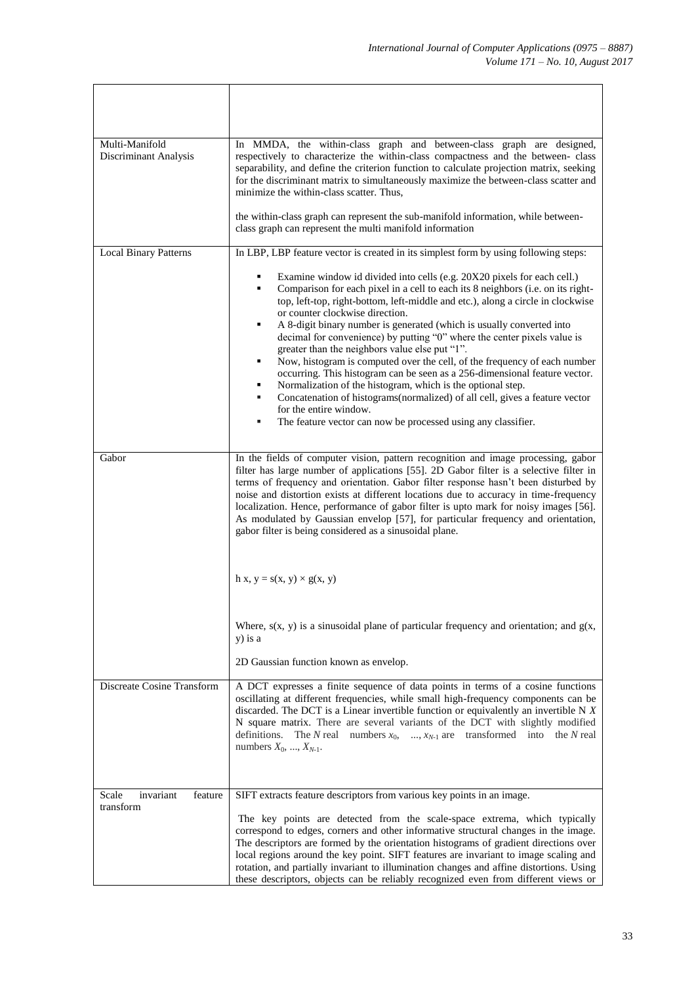| Multi-Manifold<br>Discriminant Analysis    | In MMDA, the within-class graph and between-class graph are designed,<br>respectively to characterize the within-class compactness and the between- class<br>separability, and define the criterion function to calculate projection matrix, seeking<br>for the discriminant matrix to simultaneously maximize the between-class scatter and<br>minimize the within-class scatter. Thus,<br>the within-class graph can represent the sub-manifold information, while between-<br>class graph can represent the multi manifold information                                                                   |  |  |  |
|--------------------------------------------|-------------------------------------------------------------------------------------------------------------------------------------------------------------------------------------------------------------------------------------------------------------------------------------------------------------------------------------------------------------------------------------------------------------------------------------------------------------------------------------------------------------------------------------------------------------------------------------------------------------|--|--|--|
| <b>Local Binary Patterns</b>               | In LBP, LBP feature vector is created in its simplest form by using following steps:                                                                                                                                                                                                                                                                                                                                                                                                                                                                                                                        |  |  |  |
|                                            |                                                                                                                                                                                                                                                                                                                                                                                                                                                                                                                                                                                                             |  |  |  |
|                                            | Examine window id divided into cells (e.g. 20X20 pixels for each cell.)<br>٠<br>Comparison for each pixel in a cell to each its 8 neighbors (i.e. on its right-<br>٠<br>top, left-top, right-bottom, left-middle and etc.), along a circle in clockwise<br>or counter clockwise direction.<br>A 8-digit binary number is generated (which is usually converted into<br>٠<br>decimal for convenience) by putting "0" where the center pixels value is<br>greater than the neighbors value else put "1".                                                                                                      |  |  |  |
|                                            | Now, histogram is computed over the cell, of the frequency of each number<br>٠<br>occurring. This histogram can be seen as a 256-dimensional feature vector.<br>Normalization of the histogram, which is the optional step.<br>٠<br>Concatenation of histograms(normalized) of all cell, gives a feature vector<br>for the entire window.<br>٠<br>The feature vector can now be processed using any classifier.                                                                                                                                                                                             |  |  |  |
|                                            |                                                                                                                                                                                                                                                                                                                                                                                                                                                                                                                                                                                                             |  |  |  |
| Gabor                                      | In the fields of computer vision, pattern recognition and image processing, gabor<br>filter has large number of applications [55]. 2D Gabor filter is a selective filter in<br>terms of frequency and orientation. Gabor filter response hasn't been disturbed by<br>noise and distortion exists at different locations due to accuracy in time-frequency<br>localization. Hence, performance of gabor filter is upto mark for noisy images [56].<br>As modulated by Gaussian envelop [57], for particular frequency and orientation,<br>gabor filter is being considered as a sinusoidal plane.            |  |  |  |
|                                            | h x, y = s(x, y) $\times$ g(x, y)                                                                                                                                                                                                                                                                                                                                                                                                                                                                                                                                                                           |  |  |  |
|                                            | Where, $s(x, y)$ is a sinusoidal plane of particular frequency and orientation; and $g(x, y)$<br>y) is a                                                                                                                                                                                                                                                                                                                                                                                                                                                                                                    |  |  |  |
|                                            | 2D Gaussian function known as envelop.                                                                                                                                                                                                                                                                                                                                                                                                                                                                                                                                                                      |  |  |  |
| Discreate Cosine Transform                 | A DCT expresses a finite sequence of data points in terms of a cosine functions<br>oscillating at different frequencies, while small high-frequency components can be<br>discarded. The DCT is a Linear invertible function or equivalently an invertible $N X$<br>N square matrix. There are several variants of the DCT with slightly modified<br>, $x_{N-1}$ are transformed into the N real<br>definitions. The N real numbers $x_0$ ,<br>numbers $X_0, , X_{N-1}$ .                                                                                                                                    |  |  |  |
| invariant<br>Scale<br>feature<br>transform | SIFT extracts feature descriptors from various key points in an image.<br>The key points are detected from the scale-space extrema, which typically<br>correspond to edges, corners and other informative structural changes in the image.<br>The descriptors are formed by the orientation histograms of gradient directions over<br>local regions around the key point. SIFT features are invariant to image scaling and<br>rotation, and partially invariant to illumination changes and affine distortions. Using<br>these descriptors, objects can be reliably recognized even from different views or |  |  |  |

 $\mathbf{r}$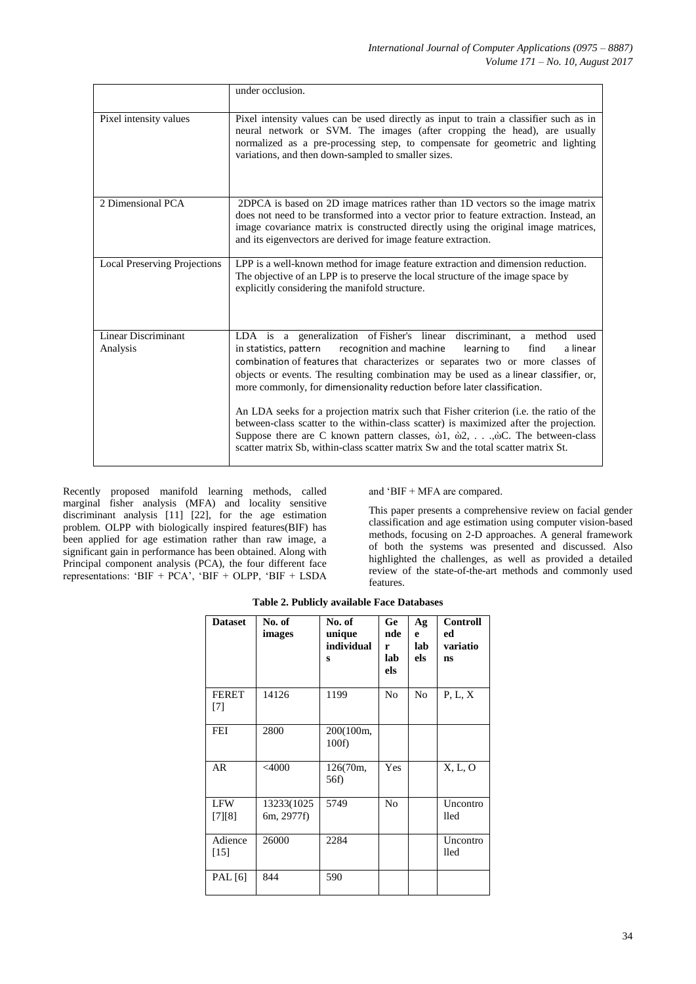|                                        | under occlusion.                                                                                                                                                                                                                                                                                                                                                                                                     |
|----------------------------------------|----------------------------------------------------------------------------------------------------------------------------------------------------------------------------------------------------------------------------------------------------------------------------------------------------------------------------------------------------------------------------------------------------------------------|
| Pixel intensity values                 | Pixel intensity values can be used directly as input to train a classifier such as in<br>neural network or SVM. The images (after cropping the head), are usually<br>normalized as a pre-processing step, to compensate for geometric and lighting<br>variations, and then down-sampled to smaller sizes.                                                                                                            |
| 2 Dimensional PCA                      | 2DPCA is based on 2D image matrices rather than 1D vectors so the image matrix<br>does not need to be transformed into a vector prior to feature extraction. Instead, an<br>image covariance matrix is constructed directly using the original image matrices,<br>and its eigenvectors are derived for image feature extraction.                                                                                     |
| <b>Local Preserving Projections</b>    | LPP is a well-known method for image feature extraction and dimension reduction.<br>The objective of an LPP is to preserve the local structure of the image space by<br>explicitly considering the manifold structure.                                                                                                                                                                                               |
| <b>Linear Discriminant</b><br>Analysis | LDA is a generalization of Fisher's linear discriminant, a method used<br>recognition and machine<br>learning to<br>find<br>in statistics, pattern<br>a linear<br>combination of features that characterizes or separates two or more classes of<br>objects or events. The resulting combination may be used as a linear classifier, or,<br>more commonly, for dimensionality reduction before later classification. |
|                                        | An LDA seeks for a projection matrix such that Fisher criterion (i.e. the ratio of the<br>between-class scatter to the within-class scatter) is maximized after the projection.<br>Suppose there are C known pattern classes, $\dot{\omega}$ 1, $\dot{\omega}$ 2,, $\dot{\omega}$ C. The between-class<br>scatter matrix Sb, within-class scatter matrix Sw and the total scatter matrix St.                         |

Recently proposed manifold learning methods, called marginal fisher analysis (MFA) and locality sensitive discriminant analysis [11] [22], for the age estimation problem. OLPP with biologically inspired features(BIF) has been applied for age estimation rather than raw image, a significant gain in performance has been obtained. Along with Principal component analysis (PCA), the four different face representations: 'BIF + PCA', 'BIF + OLPP, 'BIF + LSDA and 'BIF + MFA are compared.

This paper presents a comprehensive review on facial gender classification and age estimation using computer vision-based methods, focusing on 2-D approaches. A general framework of both the systems was presented and discussed. Also highlighted the challenges, as well as provided a detailed review of the state-of-the-art methods and commonly used features.

| <b>Dataset</b>        | No. of<br>images          | No. of<br>unique<br>individual<br>S | <b>Ge</b><br>nde<br>r<br>lab<br>els | Ag<br>e<br>lab<br>els | <b>Controll</b><br>ed<br>variatio<br>ns |
|-----------------------|---------------------------|-------------------------------------|-------------------------------------|-----------------------|-----------------------------------------|
| <b>FERET</b><br>$[7]$ | 14126                     | 1199                                | N <sub>o</sub>                      | N <sub>0</sub>        | P, L, X                                 |
| <b>FEI</b>            | 2800                      | 200(100m,<br>100f                   |                                     |                       |                                         |
| <b>AR</b>             | $<$ 4000                  | 126(70m,<br>56f)                    | <b>Yes</b>                          |                       | X, L, O                                 |
| <b>LFW</b><br>[7] [8] | 13233(1025)<br>6m, 2977f) | 5749                                | N <sub>o</sub>                      |                       | Uncontro<br>lled                        |
| Adience<br>[15]       | 26000                     | 2284                                |                                     |                       | Uncontro<br>lled                        |
| PAL [6]               | 844                       | 590                                 |                                     |                       |                                         |

**Table 2. Publicly available Face Databases**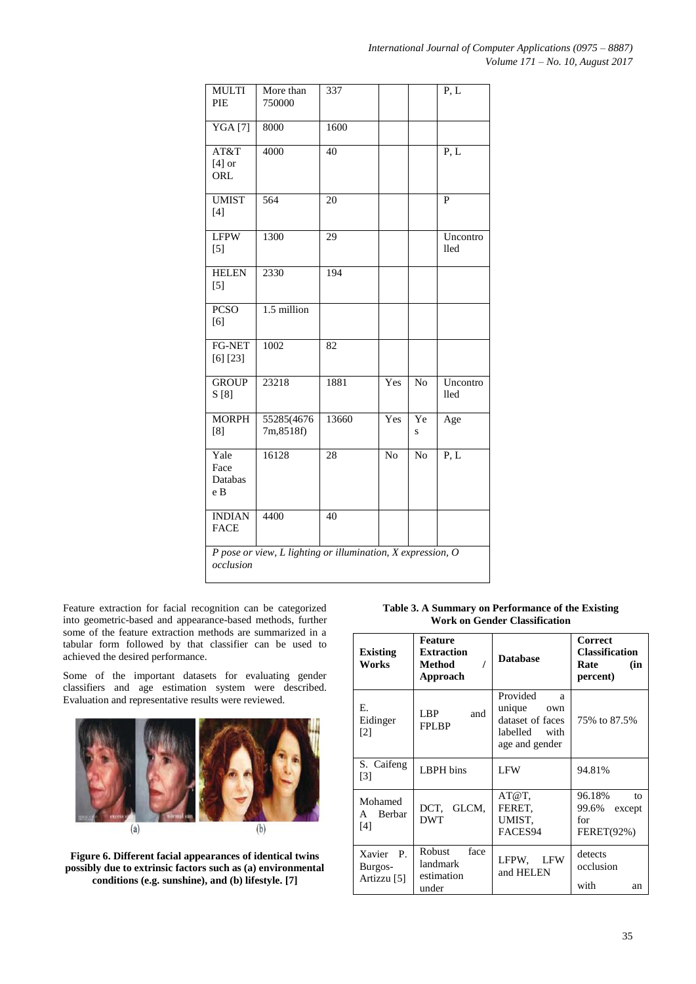| <b>MULTI</b><br>PIE                                                      | More than<br>750000     | 337   |     |                | P, L                    |
|--------------------------------------------------------------------------|-------------------------|-------|-----|----------------|-------------------------|
| YGA[7]                                                                   | 8000                    | 1600  |     |                |                         |
| AT&T<br>$[4]$ or<br>ORL                                                  | 4000                    | 40    |     |                | P, L                    |
| <b>UMIST</b><br>$[4]$                                                    | 564                     | 20    |     |                | $\mathbf{P}$            |
| <b>LFPW</b><br>$[5]$                                                     | 1300                    | 29    |     |                | Uncontro<br><b>lled</b> |
| <b>HELEN</b><br>$[5]$                                                    | 2330                    | 194   |     |                |                         |
| <b>PCSO</b><br>[6]                                                       | 1.5 million             |       |     |                |                         |
| FG-NET<br>[6] [23]                                                       | 1002                    | 82    |     |                |                         |
| <b>GROUP</b><br>S[8]                                                     | 23218                   | 1881  | Yes | N <sub>o</sub> | Uncontro<br>lled        |
| <b>MORPH</b><br>[8]                                                      | 55285(4676<br>7m,8518f) | 13660 | Yes | Ye<br>S        | Age                     |
| Yale<br>Face<br>Databas<br>e B                                           | 16128                   | 28    | No  | No             | $P, \overline{L}$       |
| <b>INDIAN</b><br><b>FACE</b>                                             | 4400                    | 40    |     |                |                         |
| P pose or view, L lighting or illumination, X expression, O<br>occlusion |                         |       |     |                |                         |

Feature extraction for facial recognition can be categorized into geometric-based and appearance-based methods, further some of the feature extraction methods are summarized in a tabular form followed by that classifier can be used to achieved the desired performance.

Some of the important datasets for evaluating gender classifiers and age estimation system were described. Evaluation and representative results were reviewed.



**Figure 6. Different facial appearances of identical twins possibly due to extrinsic factors such as (a) environmental conditions (e.g. sunshine), and (b) lifestyle. [7]**

| Table 3. A Summary on Performance of the Existing |  |
|---------------------------------------------------|--|
| <b>Work on Gender Classification</b>              |  |

| <b>Existing</b><br>Works                         | <b>Feature</b><br><b>Extraction</b><br>Method<br>Approach | <b>Database</b>                                                                          | Correct<br><b>Classification</b><br>Rate<br>(in<br>percent) |
|--------------------------------------------------|-----------------------------------------------------------|------------------------------------------------------------------------------------------|-------------------------------------------------------------|
| Е.<br>Eidinger<br>$\lceil 2 \rceil$              | LBP<br>and<br><b>FPLBP</b>                                | Provided<br>a<br>unique<br>own<br>dataset of faces<br>labelled<br>with<br>age and gender | 75% to 87.5%                                                |
| S. Caifeng<br>$\lceil 3 \rceil$                  | LBPH bins                                                 | <b>LFW</b>                                                                               | 94.81%                                                      |
| Mohamed<br>Berbar<br>A<br>[4]                    | DCT.<br>GLCM.<br><b>DWT</b>                               | AT@T.<br>FERET.<br>UMIST.<br>FACES94                                                     | 96.18%<br>to<br>99.6%<br>except<br>for<br><b>FERET(92%)</b> |
| Xavier<br>$\mathbf{P}$<br>Burgos-<br>Artizzu [5] | face<br>Robust<br>landmark<br>estimation<br>under         | LFPW,<br>LFW<br>and HELEN                                                                | detects<br>occlusion<br>with<br>an                          |